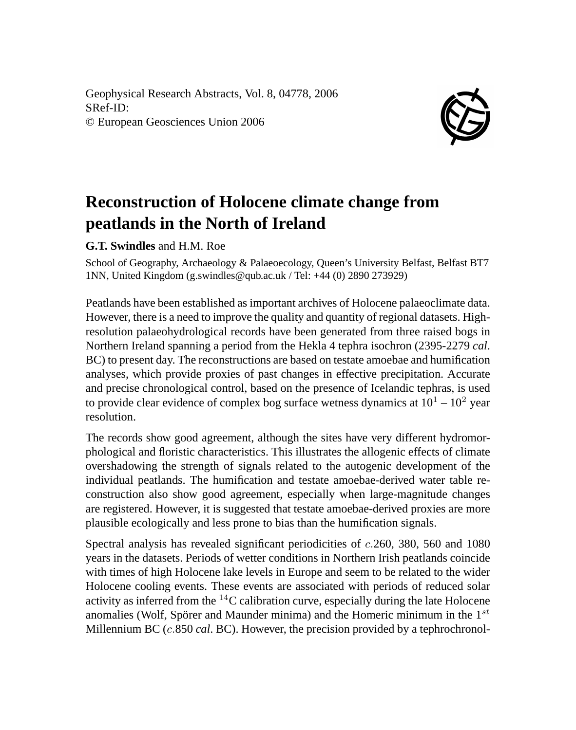Geophysical Research Abstracts, Vol. 8, 04778, 2006 SRef-ID: © European Geosciences Union 2006



## **Reconstruction of Holocene climate change from peatlands in the North of Ireland**

**G.T. Swindles** and H.M. Roe

School of Geography, Archaeology & Palaeoecology, Queen's University Belfast, Belfast BT7 1NN, United Kingdom (g.swindles@qub.ac.uk / Tel: +44 (0) 2890 273929)

Peatlands have been established as important archives of Holocene palaeoclimate data. However, there is a need to improve the quality and quantity of regional datasets. Highresolution palaeohydrological records have been generated from three raised bogs in Northern Ireland spanning a period from the Hekla 4 tephra isochron (2395-2279 *cal*. BC) to present day. The reconstructions are based on testate amoebae and humification analyses, which provide proxies of past changes in effective precipitation. Accurate and precise chronological control, based on the presence of Icelandic tephras, is used to provide clear evidence of complex bog surface wetness dynamics at  $10^1 - 10^2$  year resolution.

The records show good agreement, although the sites have very different hydromorphological and floristic characteristics. This illustrates the allogenic effects of climate overshadowing the strength of signals related to the autogenic development of the individual peatlands. The humification and testate amoebae-derived water table reconstruction also show good agreement, especially when large-magnitude changes are registered. However, it is suggested that testate amoebae-derived proxies are more plausible ecologically and less prone to bias than the humification signals.

Spectral analysis has revealed significant periodicities of c.260, 380, 560 and 1080 years in the datasets. Periods of wetter conditions in Northern Irish peatlands coincide with times of high Holocene lake levels in Europe and seem to be related to the wider Holocene cooling events. These events are associated with periods of reduced solar activity as inferred from the <sup>14</sup>C calibration curve, especially during the late Holocene anomalies (Wolf, Spörer and Maunder minima) and the Homeric minimum in the  $1^{st}$ Millennium BC (c.850 *cal*. BC). However, the precision provided by a tephrochronol